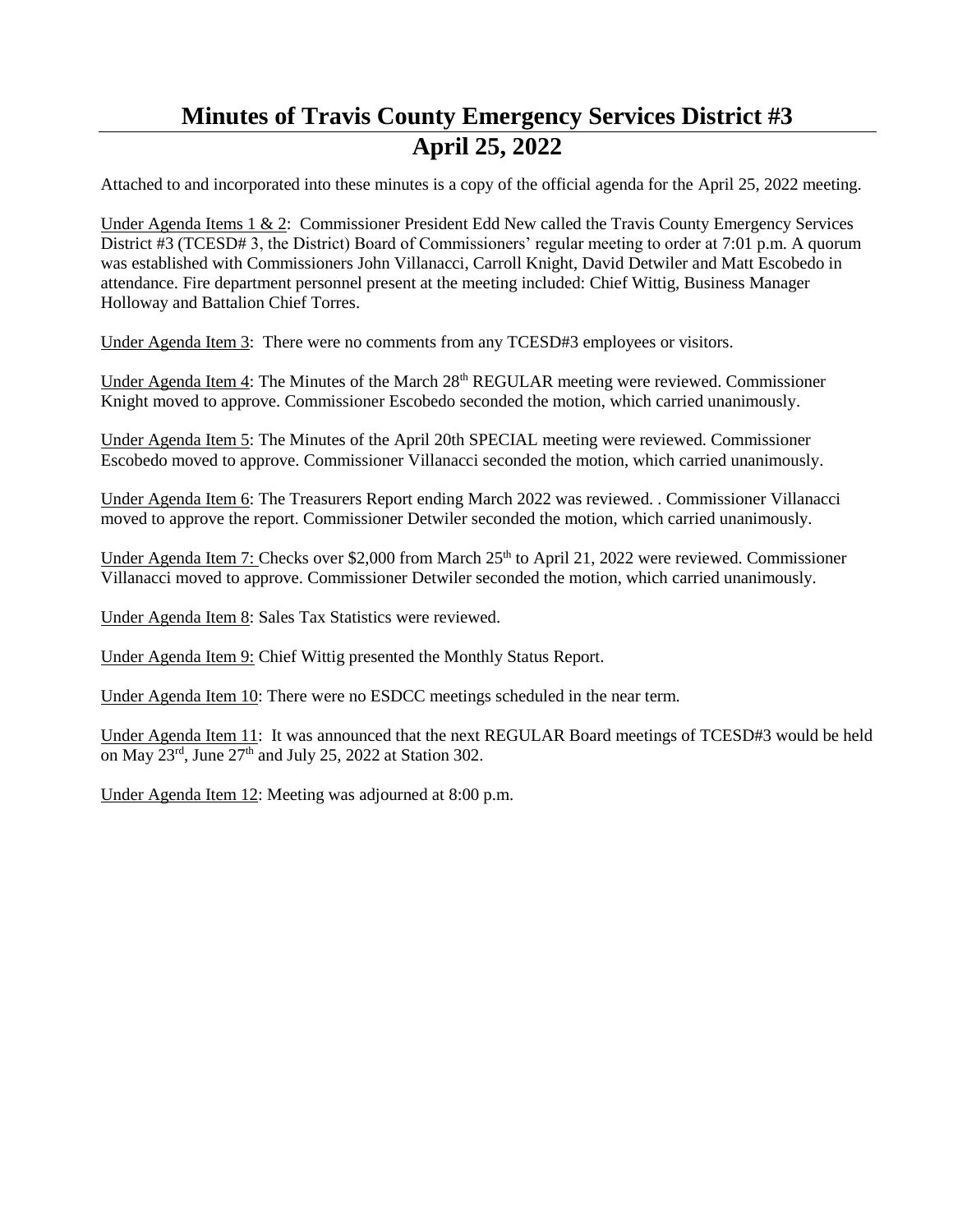## **Minutes of Travis County Emergency Services District #3 April 25, 2022**

Attached to and incorporated into these minutes is a copy of the official agenda for the April 25, 2022 meeting.

Under Agenda Items 1 & 2: Commissioner President Edd New called the Travis County Emergency Services District #3 (TCESD# 3, the District) Board of Commissioners' regular meeting to order at 7:01 p.m. A quorum was established with Commissioners John Villanacci, Carroll Knight, David Detwiler and Matt Escobedo in attendance. Fire department personnel present at the meeting included: Chief Wittig, Business Manager Holloway and Battalion Chief Torres.

Under Agenda Item 3: There were no comments from any TCESD#3 employees or visitors.

Under Agenda Item 4: The Minutes of the March 28<sup>th</sup> REGULAR meeting were reviewed. Commissioner Knight moved to approve. Commissioner Escobedo seconded the motion, which carried unanimously.

Under Agenda Item 5: The Minutes of the April 20th SPECIAL meeting were reviewed. Commissioner Escobedo moved to approve. Commissioner Villanacci seconded the motion, which carried unanimously.

Under Agenda Item 6: The Treasurers Report ending March 2022 was reviewed. . Commissioner Villanacci moved to approve the report. Commissioner Detwiler seconded the motion, which carried unanimously.

Under Agenda Item 7: Checks over \$2,000 from March  $25<sup>th</sup>$  to April 21, 2022 were reviewed. Commissioner Villanacci moved to approve. Commissioner Detwiler seconded the motion, which carried unanimously.

Under Agenda Item 8: Sales Tax Statistics were reviewed.

Under Agenda Item 9: Chief Wittig presented the Monthly Status Report.

Under Agenda Item 10: There were no ESDCC meetings scheduled in the near term.

Under Agenda Item 11: It was announced that the next REGULAR Board meetings of TCESD#3 would be held on May 23rd , June 27th and July 25, 2022 at Station 302.

Under Agenda Item 12: Meeting was adjourned at 8:00 p.m.